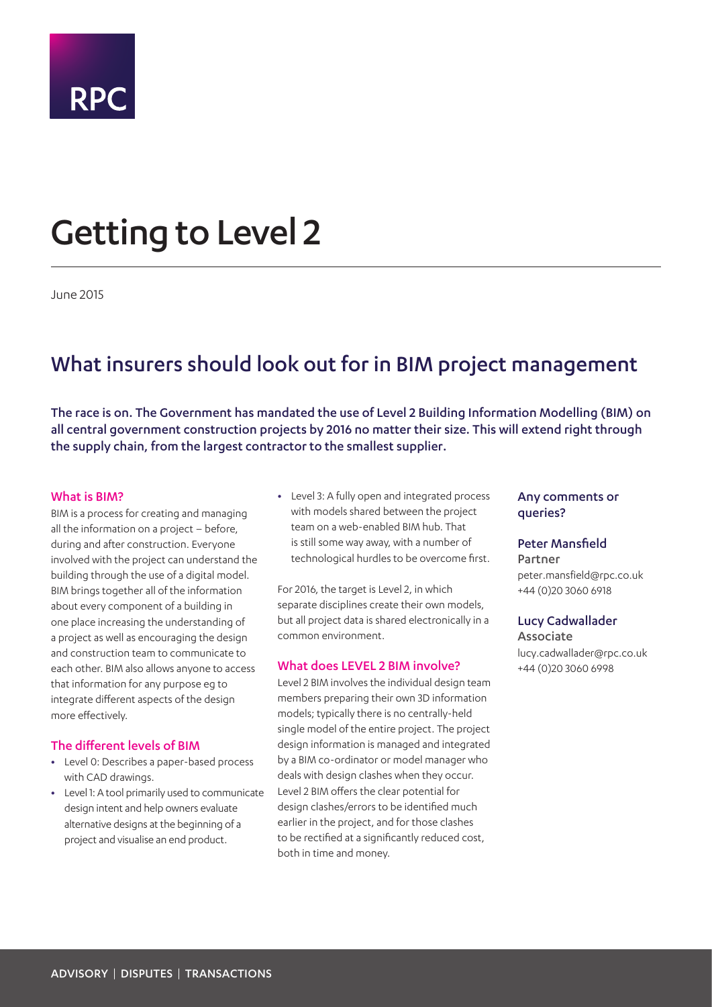

# Getting to Level 2

June 2015

## What insurers should look out for in BIM project management

The race is on. The Government has mandated the use of Level 2 Building Information Modelling (BIM) on all central government construction projects by 2016 no matter their size. This will extend right through the supply chain, from the largest contractor to the smallest supplier.

#### What is BIM?

BIM is a process for creating and managing all the information on a project – before, during and after construction. Everyone involved with the project can understand the building through the use of a digital model. BIM brings together all of the information about every component of a building in one place increasing the understanding of a project as well as encouraging the design and construction team to communicate to each other. BIM also allows anyone to access that information for any purpose eg to integrate different aspects of the design more effectively.

#### The different levels of BIM

- **•** Level 0: Describes a paper-based process with CAD drawings.
- **•** Level 1: A tool primarily used to communicate design intent and help owners evaluate alternative designs at the beginning of a project and visualise an end product.

**•** Level 3: A fully open and integrated process with models shared between the project team on a web-enabled BIM hub. That is still some way away, with a number of technological hurdles to be overcome first.

For 2016, the target is Level 2, in which separate disciplines create their own models, but all project data is shared electronically in a common environment.

#### What does LEVEL 2 BIM involve?

Level 2 BIM involves the individual design team members preparing their own 3D information models; typically there is no centrally-held single model of the entire project. The project design information is managed and integrated by a BIM co-ordinator or model manager who deals with design clashes when they occur. Level 2 BIM offers the clear potential for design clashes/errors to be identified much earlier in the project, and for those clashes to be rectified at a significantly reduced cost, both in time and money.

#### Any comments or queries?

#### Peter Mansfield

Partner peter.mansfield@rpc.co.uk +44 (0)20 3060 6918

#### Lucy Cadwallader

Associate lucy.cadwallader@rpc.co.uk +44 (0)20 3060 6998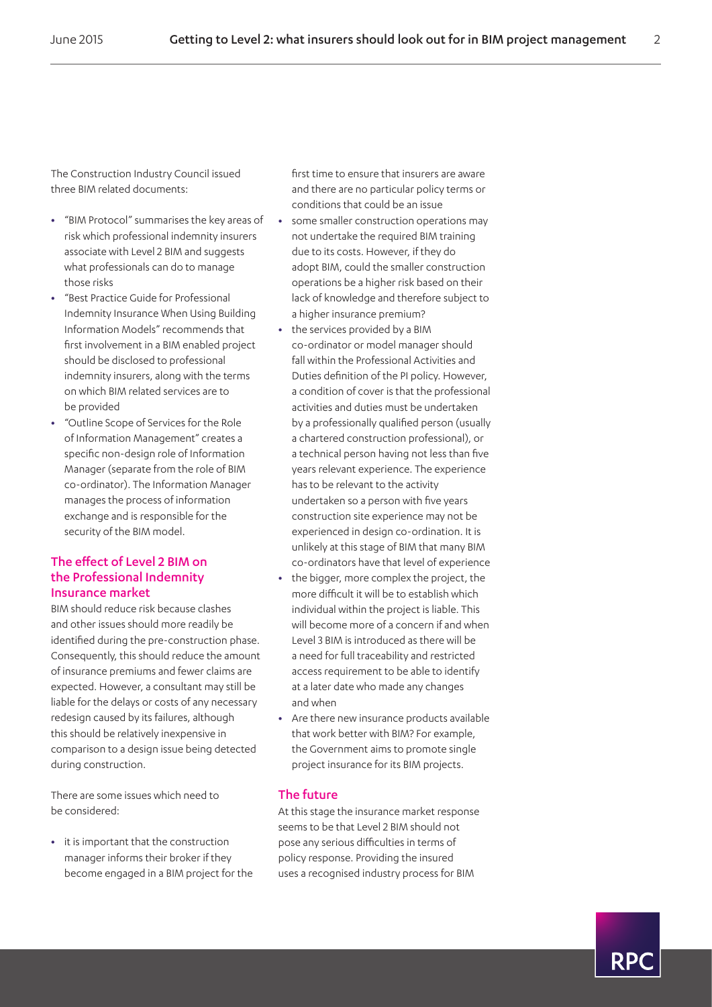The Construction Industry Council issued three BIM related documents:

- **•** "BIM Protocol" summarises the key areas of risk which professional indemnity insurers associate with Level 2 BIM and suggests what professionals can do to manage those risks
- **•** "Best Practice Guide for Professional Indemnity Insurance When Using Building Information Models" recommends that first involvement in a BIM enabled project should be disclosed to professional indemnity insurers, along with the terms on which BIM related services are to be provided
- **•** "Outline Scope of Services for the Role of Information Management" creates a specific non-design role of Information Manager (separate from the role of BIM co-ordinator). The Information Manager manages the process of information exchange and is responsible for the security of the BIM model.

### The effect of Level 2 BIM on the Professional Indemnity Insurance market

BIM should reduce risk because clashes and other issues should more readily be identified during the pre-construction phase. Consequently, this should reduce the amount of insurance premiums and fewer claims are expected. However, a consultant may still be liable for the delays or costs of any necessary redesign caused by its failures, although this should be relatively inexpensive in comparison to a design issue being detected during construction.

There are some issues which need to be considered:

**•** it is important that the construction manager informs their broker if they become engaged in a BIM project for the first time to ensure that insurers are aware and there are no particular policy terms or conditions that could be an issue

- **•** some smaller construction operations may not undertake the required BIM training due to its costs. However, if they do adopt BIM, could the smaller construction operations be a higher risk based on their lack of knowledge and therefore subject to a higher insurance premium?
- **•** the services provided by a BIM co-ordinator or model manager should fall within the Professional Activities and Duties definition of the PI policy. However, a condition of cover is that the professional activities and duties must be undertaken by a professionally qualified person (usually a chartered construction professional), or a technical person having not less than five years relevant experience. The experience has to be relevant to the activity undertaken so a person with five years construction site experience may not be experienced in design co-ordination. It is unlikely at this stage of BIM that many BIM co-ordinators have that level of experience
- **•** the bigger, more complex the project, the more difficult it will be to establish which individual within the project is liable. This will become more of a concern if and when Level 3 BIM is introduced as there will be a need for full traceability and restricted access requirement to be able to identify at a later date who made any changes and when
- **•** Are there new insurance products available that work better with BIM? For example, the Government aims to promote single project insurance for its BIM projects.

#### The future

At this stage the insurance market response seems to be that Level 2 BIM should not pose any serious difficulties in terms of policy response. Providing the insured uses a recognised industry process for BIM

RP(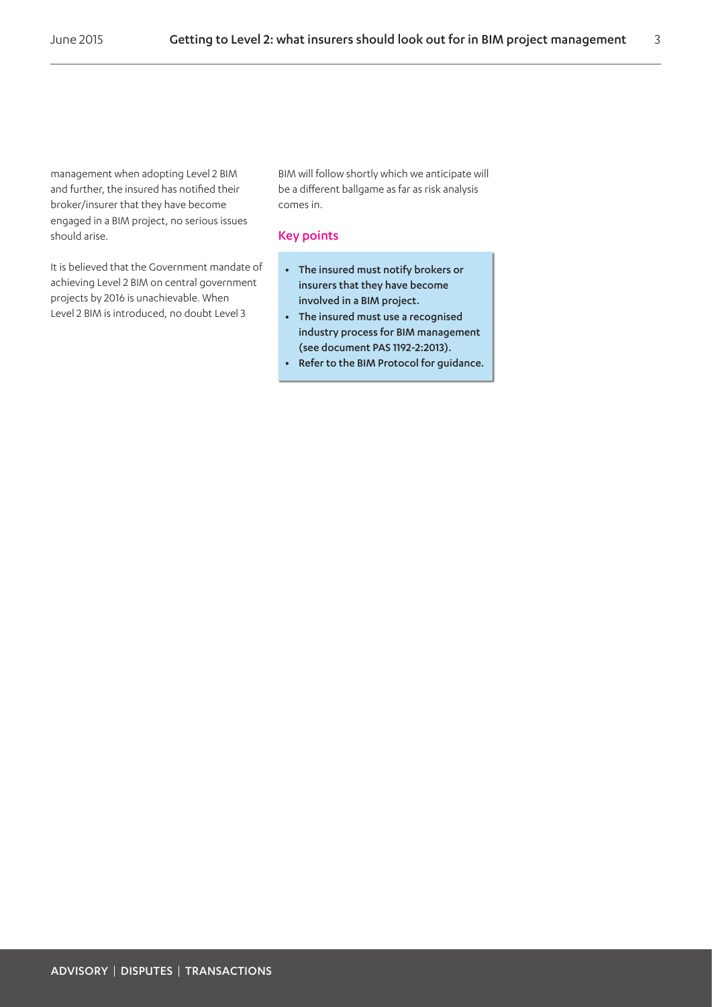management when adopting Level 2 BIM and further, the insured has notified their broker/insurer that they have become engaged in a BIM project, no serious issues should arise.

It is believed that the Government mandate of achieving Level 2 BIM on central government projects by 2016 is unachievable. When Level 2 BIM is introduced, no doubt Level 3

BIM will follow shortly which we anticipate will be a different ballgame as far as risk analysis comes in.

#### Key points

- **•** The insured must notify brokers or insurers that they have become involved in a BIM project.
- **•** The insured must use a recognised industry process for BIM management (see document PAS 1192-2:2013).
- **•** Refer to the BIM Protocol for guidance.